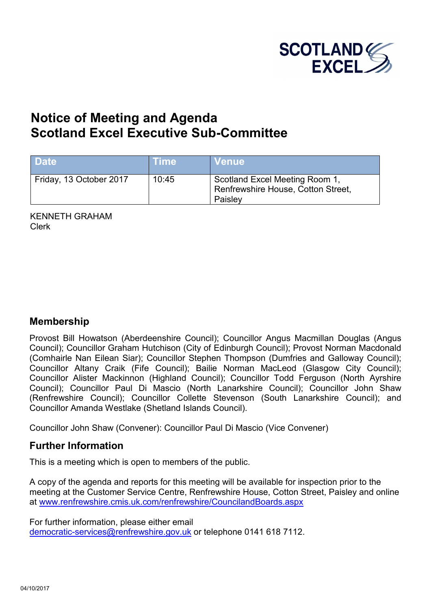

# **Notice of Meeting and Agenda S[cotland Excel Executive Sub-Committee](http://www.renfrewshire.cmis.uk.com/renfrewshire/CouncilandBoards.aspx)**

| <b>Date</b>             | Time  | <b>Venue</b>                                                                    |
|-------------------------|-------|---------------------------------------------------------------------------------|
| Friday, 13 October 2017 | 10:45 | Scotland Excel Meeting Room 1,<br>Renfrewshire House, Cotton Street,<br>Paisley |

KENNETH GRAHAM Clerk

#### **Membership**

Provost Bill Howatson (Aberdeenshire Council); Councillor Angus Macmillan Douglas (Angus Council); Councillor Graham Hutchison (City of Edinburgh Council); Provost Norman Macdonald (Comhairle Nan Eilean Siar); Councillor Stephen Thompson (Dumfries and Galloway Council); Councillor Altany Craik (Fife Council); Bailie Norman MacLeod (Glasgow City Council); Councillor Alister Mackinnon (Highland Council); Councillor Todd Ferguson (North Ayrshire Council); Councillor Paul Di Mascio (North Lanarkshire Council); Councillor John Shaw (Renfrewshire Council); Councillor Collette Stevenson (South Lanarkshire Council); and Councillor Amanda Westlake (Shetland Islands Council).

Councillor John Shaw (Convener): Councillor Paul Di Mascio (Vice Convener)

#### **Further Information**

This is a meeting which is open to members of the public.

A copy of the agenda and reports for this meeting will be available for inspection prior to the meeting at the Customer Service Centre, Renfrewshire House, Cotton Street, Paisley and online at www.renfrewshire.cmis.uk.com/renfrewshire/CouncilandBoards.aspx

For further information, please either email [democratic-services@renfrewshire.gov.uk](mailto:democratic-services@renfrewshire.gov.uk) or telephone 0141 618 7112.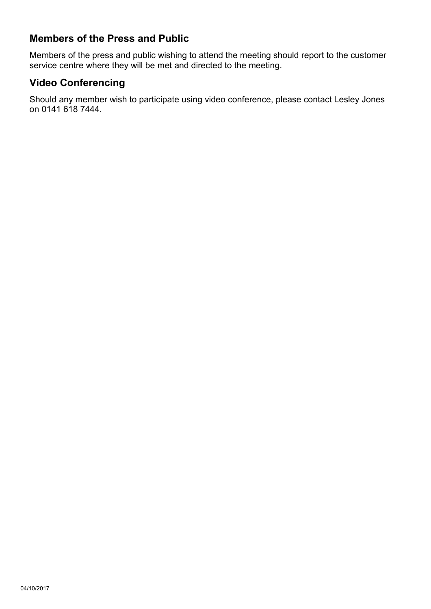# **Members of the Press and Public**

Members of the press and public wishing to attend the meeting should report to the customer service centre where they will be met and directed to the meeting.

# **Video Conferencing**

Should any member wish to participate using video conference, please contact Lesley Jones on 0141 618 7444.